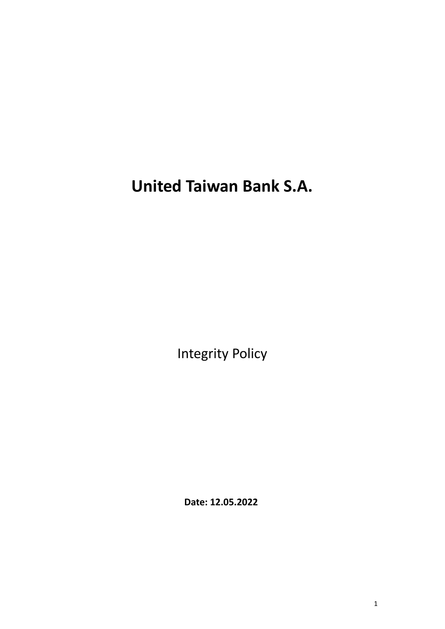**United Taiwan Bank S.A.**

Integrity Policy

**Date: 12.05.2022**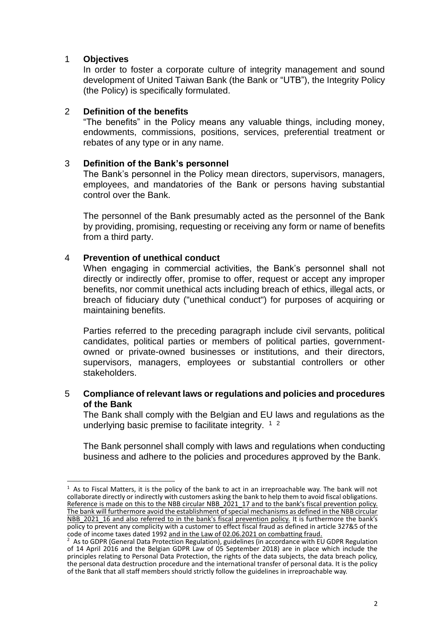### 1 **Objectives**

In order to foster a corporate culture of integrity management and sound development of United Taiwan Bank (the Bank or "UTB"), the Integrity Policy (the Policy) is specifically formulated.

### 2 **Definition of the benefits**

"The benefits" in the Policy means any valuable things, including money, endowments, commissions, positions, services, preferential treatment or rebates of any type or in any name.

# 3 **Definition of the Bank's personnel**

The Bank's personnel in the Policy mean directors, supervisors, managers, employees, and mandatories of the Bank or persons having substantial control over the Bank.

The personnel of the Bank presumably acted as the personnel of the Bank by providing, promising, requesting or receiving any form or name of benefits from a third party.

### 4 **Prevention of unethical conduct**

When engaging in commercial activities, the Bank's personnel shall not directly or indirectly offer, promise to offer, request or accept any improper benefits, nor commit unethical acts including breach of ethics, illegal acts, or breach of fiduciary duty ("unethical conduct") for purposes of acquiring or maintaining benefits.

Parties referred to the preceding paragraph include civil servants, political candidates, political parties or members of political parties, governmentowned or private-owned businesses or institutions, and their directors, supervisors, managers, employees or substantial controllers or other stakeholders.

#### 5 **Compliance of relevant laws or regulations and policies and procedures of the Bank**

The Bank shall comply with the Belgian and EU laws and regulations as the underlying basic premise to facilitate integrity.  $12$ 

The Bank personnel shall comply with laws and regulations when conducting business and adhere to the policies and procedures approved by the Bank.

 $1$  As to Fiscal Matters, it is the policy of the bank to act in an irreproachable way. The bank will not collaborate directly or indirectly with customers asking the bank to help them to avoid fiscal obligations. Reference is made on this to the NBB circular NBB\_2021\_17 and to the bank's fiscal prevention policy. The bank will furthermore avoid the establishment of special mechanisms as defined in the NBB circular NBB 2021\_16 and also referred to in the bank's fiscal prevention policy. It is furthermore the bank's policy to prevent any complicity with a customer to effect fiscal fraud as defined in article 327&5 of the code of income taxes dated 1992 and in the Law of 02.06.2021 on combatting fraud.

As to GDPR (General Data Protection Regulation), guidelines (in accordance with EU GDPR Regulation of 14 April 2016 and the Belgian GDPR Law of 05 September 2018) are in place which include the principles relating to Personal Data Protection, the rights of the data subjects, the data breach policy, the personal data destruction procedure and the international transfer of personal data. It is the policy of the Bank that all staff members should strictly follow the guidelines in irreproachable way.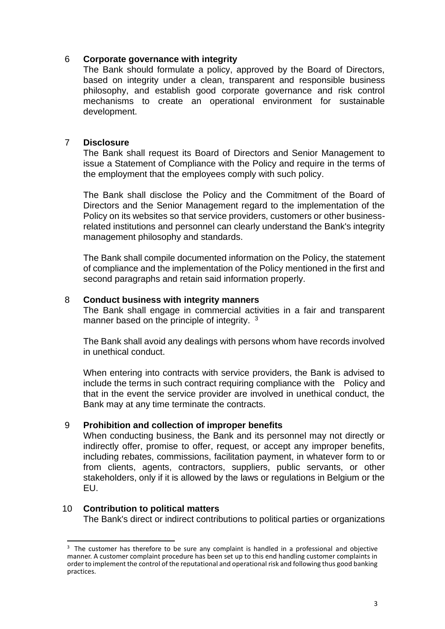# 6 **Corporate governance with integrity**

The Bank should formulate a policy, approved by the Board of Directors, based on integrity under a clean, transparent and responsible business philosophy, and establish good corporate governance and risk control mechanisms to create an operational environment for sustainable development.

# 7 **Disclosure**

The Bank shall request its Board of Directors and Senior Management to issue a Statement of Compliance with the Policy and require in the terms of the employment that the employees comply with such policy.

The Bank shall disclose the Policy and the Commitment of the Board of Directors and the Senior Management regard to the implementation of the Policy on its websites so that service providers, customers or other businessrelated institutions and personnel can clearly understand the Bank's integrity management philosophy and standards.

The Bank shall compile documented information on the Policy, the statement of compliance and the implementation of the Policy mentioned in the first and second paragraphs and retain said information properly.

# 8 **Conduct business with integrity manners**

The Bank shall engage in commercial activities in a fair and transparent manner based on the principle of integrity. <sup>3</sup>

The Bank shall avoid any dealings with persons whom have records involved in unethical conduct.

When entering into contracts with service providers, the Bank is advised to include the terms in such contract requiring compliance with the Policy and that in the event the service provider are involved in unethical conduct, the Bank may at any time terminate the contracts.

# 9 **Prohibition and collection of improper benefits**

When conducting business, the Bank and its personnel may not directly or indirectly offer, promise to offer, request, or accept any improper benefits, including rebates, commissions, facilitation payment, in whatever form to or from clients, agents, contractors, suppliers, public servants, or other stakeholders, only if it is allowed by the laws or regulations in Belgium or the EU.

# 10 **Contribution to political matters**

The Bank's direct or indirect contributions to political parties or organizations

<sup>&</sup>lt;sup>3</sup> The customer has therefore to be sure any complaint is handled in a professional and objective manner. A customer complaint procedure has been set up to this end handling customer complaints in order to implement the control of the reputational and operational risk and following thus good banking practices.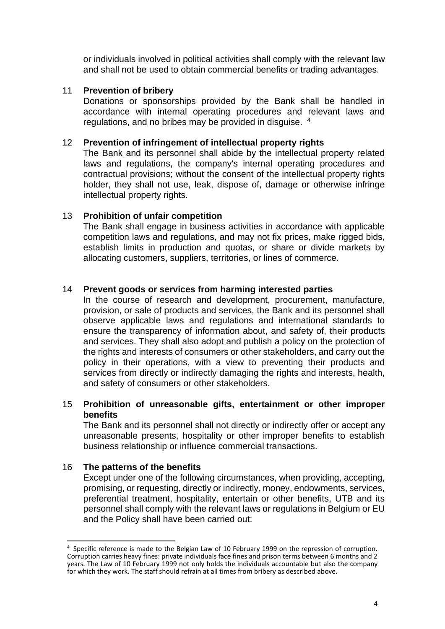or individuals involved in political activities shall comply with the relevant law and shall not be used to obtain commercial benefits or trading advantages.

# 11 **Prevention of bribery**

Donations or sponsorships provided by the Bank shall be handled in accordance with internal operating procedures and relevant laws and regulations, and no bribes may be provided in disguise. <sup>4</sup>

# 12 **Prevention of infringement of intellectual property rights**

The Bank and its personnel shall abide by the intellectual property related laws and regulations, the company's internal operating procedures and contractual provisions; without the consent of the intellectual property rights holder, they shall not use, leak, dispose of, damage or otherwise infringe intellectual property rights.

# 13 **Prohibition of unfair competition**

The Bank shall engage in business activities in accordance with applicable competition laws and regulations, and may not fix prices, make rigged bids, establish limits in production and quotas, or share or divide markets by allocating customers, suppliers, territories, or lines of commerce.

# 14 **Prevent goods or services from harming interested parties**

In the course of research and development, procurement, manufacture, provision, or sale of products and services, the Bank and its personnel shall observe applicable laws and regulations and international standards to ensure the transparency of information about, and safety of, their products and services. They shall also adopt and publish a policy on the protection of the rights and interests of consumers or other stakeholders, and carry out the policy in their operations, with a view to preventing their products and services from directly or indirectly damaging the rights and interests, health, and safety of consumers or other stakeholders.

# 15 **Prohibition of unreasonable gifts, entertainment or other improper benefits**

The Bank and its personnel shall not directly or indirectly offer or accept any unreasonable presents, hospitality or other improper benefits to establish business relationship or influence commercial transactions.

# 16 **The patterns of the benefits**

Except under one of the following circumstances, when providing, accepting, promising, or requesting, directly or indirectly, money, endowments, services, preferential treatment, hospitality, entertain or other benefits, UTB and its personnel shall comply with the relevant laws or regulations in Belgium or EU and the Policy shall have been carried out:

<sup>&</sup>lt;sup>4</sup> Specific reference is made to the Belgian Law of 10 February 1999 on the repression of corruption. Corruption carries heavy fines: private individuals face fines and prison terms between 6 months and 2 years. The Law of 10 February 1999 not only holds the individuals accountable but also the company for which they work. The staff should refrain at all times from bribery as described above.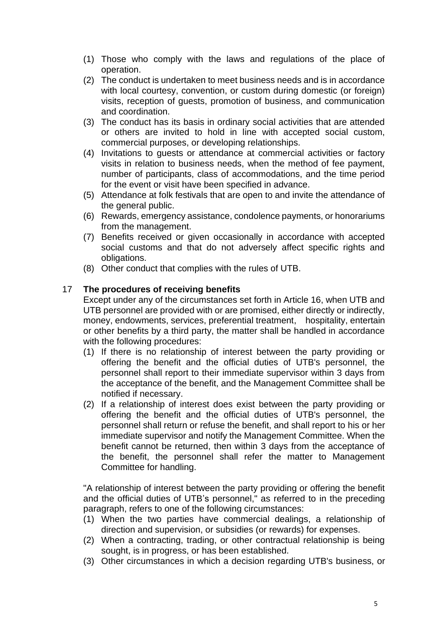- (1) Those who comply with the laws and regulations of the place of operation.
- (2) The conduct is undertaken to meet business needs and is in accordance with local courtesy, convention, or custom during domestic (or foreign) visits, reception of guests, promotion of business, and communication and coordination.
- (3) The conduct has its basis in ordinary social activities that are attended or others are invited to hold in line with accepted social custom, commercial purposes, or developing relationships.
- (4) Invitations to guests or attendance at commercial activities or factory visits in relation to business needs, when the method of fee payment, number of participants, class of accommodations, and the time period for the event or visit have been specified in advance.
- (5) Attendance at folk festivals that are open to and invite the attendance of the general public.
- (6) Rewards, emergency assistance, condolence payments, or honorariums from the management.
- (7) Benefits received or given occasionally in accordance with accepted social customs and that do not adversely affect specific rights and obligations.
- (8) Other conduct that complies with the rules of UTB.

# 17 **The procedures of receiving benefits**

Except under any of the circumstances set forth in Article 16, when UTB and UTB personnel are provided with or are promised, either directly or indirectly, money, endowments, services, preferential treatment, hospitality, entertain or other benefits by a third party, the matter shall be handled in accordance with the following procedures:

- (1) If there is no relationship of interest between the party providing or offering the benefit and the official duties of UTB's personnel, the personnel shall report to their immediate supervisor within 3 days from the acceptance of the benefit, and the Management Committee shall be notified if necessary.
- (2) If a relationship of interest does exist between the party providing or offering the benefit and the official duties of UTB's personnel, the personnel shall return or refuse the benefit, and shall report to his or her immediate supervisor and notify the Management Committee. When the benefit cannot be returned, then within 3 days from the acceptance of the benefit, the personnel shall refer the matter to Management Committee for handling.

"A relationship of interest between the party providing or offering the benefit and the official duties of UTB's personnel," as referred to in the preceding paragraph, refers to one of the following circumstances:

- (1) When the two parties have commercial dealings, a relationship of direction and supervision, or subsidies (or rewards) for expenses.
- (2) When a contracting, trading, or other contractual relationship is being sought, is in progress, or has been established.
- (3) Other circumstances in which a decision regarding UTB's business, or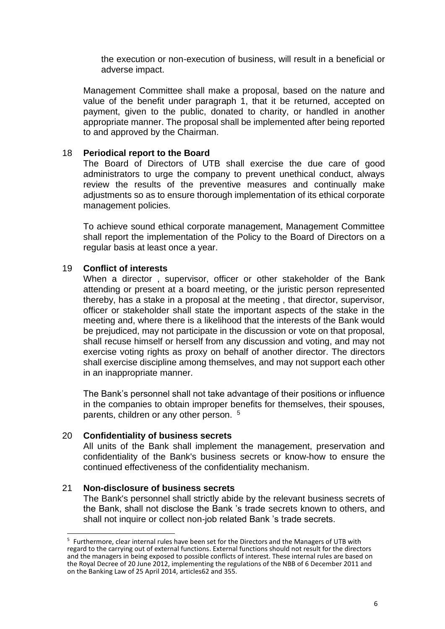the execution or non-execution of business, will result in a beneficial or adverse impact.

Management Committee shall make a proposal, based on the nature and value of the benefit under paragraph 1, that it be returned, accepted on payment, given to the public, donated to charity, or handled in another appropriate manner. The proposal shall be implemented after being reported to and approved by the Chairman.

### 18 **Periodical report to the Board**

The Board of Directors of UTB shall exercise the due care of good administrators to urge the company to prevent unethical conduct, always review the results of the preventive measures and continually make adjustments so as to ensure thorough implementation of its ethical corporate management policies.

To achieve sound ethical corporate management, Management Committee shall report the implementation of the Policy to the Board of Directors on a regular basis at least once a year.

### 19 **Conflict of interests**

When a director , supervisor, officer or other stakeholder of the Bank attending or present at a board meeting, or the juristic person represented thereby, has a stake in a proposal at the meeting , that director, supervisor, officer or stakeholder shall state the important aspects of the stake in the meeting and, where there is a likelihood that the interests of the Bank would be prejudiced, may not participate in the discussion or vote on that proposal, shall recuse himself or herself from any discussion and voting, and may not exercise voting rights as proxy on behalf of another director. The directors shall exercise discipline among themselves, and may not support each other in an inappropriate manner.

The Bank's personnel shall not take advantage of their positions or influence in the companies to obtain improper benefits for themselves, their spouses, parents, children or any other person. <sup>5</sup>

#### 20 **Confidentiality of business secrets**

All units of the Bank shall implement the management, preservation and confidentiality of the Bank's business secrets or know-how to ensure the continued effectiveness of the confidentiality mechanism.

#### 21 **Non-disclosure of business secrets**

The Bank's personnel shall strictly abide by the relevant business secrets of the Bank, shall not disclose the Bank 's trade secrets known to others, and shall not inquire or collect non-job related Bank 's trade secrets.

<sup>&</sup>lt;sup>5</sup> Furthermore, clear internal rules have been set for the Directors and the Managers of UTB with regard to the carrying out of external functions. External functions should not result for the directors and the managers in being exposed to possible conflicts of interest. These internal rules are based on the Royal Decree of 20 June 2012, implementing the regulations of the NBB of 6 December 2011 and on the Banking Law of 25 April 2014, articles62 and 355.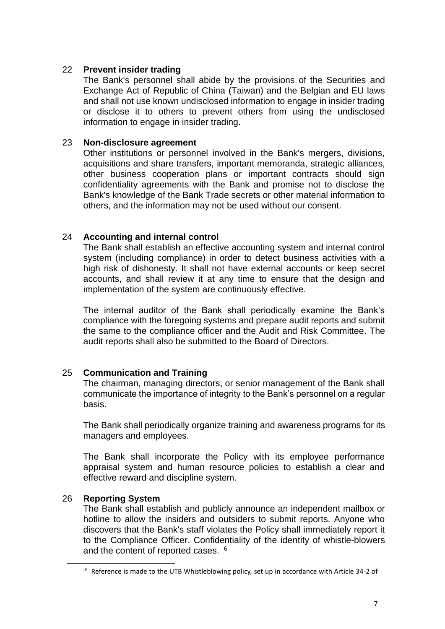# 22 **Prevent insider trading**

The Bank's personnel shall abide by the provisions of the Securities and Exchange Act of Republic of China (Taiwan) and the Belgian and EU laws and shall not use known undisclosed information to engage in insider trading or disclose it to others to prevent others from using the undisclosed information to engage in insider trading.

### 23 **Non-disclosure agreement**

Other institutions or personnel involved in the Bank's mergers, divisions, acquisitions and share transfers, important memoranda, strategic alliances, other business cooperation plans or important contracts should sign confidentiality agreements with the Bank and promise not to disclose the Bank's knowledge of the Bank Trade secrets or other material information to others, and the information may not be used without our consent.

### 24 **Accounting and internal control**

The Bank shall establish an effective accounting system and internal control system (including compliance) in order to detect business activities with a high risk of dishonesty. It shall not have external accounts or keep secret accounts, and shall review it at any time to ensure that the design and implementation of the system are continuously effective.

The internal auditor of the Bank shall periodically examine the Bank's compliance with the foregoing systems and prepare audit reports and submit the same to the compliance officer and the Audit and Risk Committee. The audit reports shall also be submitted to the Board of Directors.

# 25 **Communication and Training**

The chairman, managing directors, or senior management of the Bank shall communicate the importance of integrity to the Bank's personnel on a regular basis.

The Bank shall periodically organize training and awareness programs for its managers and employees.

The Bank shall incorporate the Policy with its employee performance appraisal system and human resource policies to establish a clear and effective reward and discipline system.

# 26 **Reporting System**

The Bank shall establish and publicly announce an independent mailbox or hotline to allow the insiders and outsiders to submit reports. Anyone who discovers that the Bank's staff violates the Policy shall immediately report it to the Compliance Officer. Confidentiality of the identity of whistle-blowers and the content of reported cases. <sup>6</sup>

 $6$  Reference is made to the UTB Whistleblowing policy, set up in accordance with Article 34-2 of